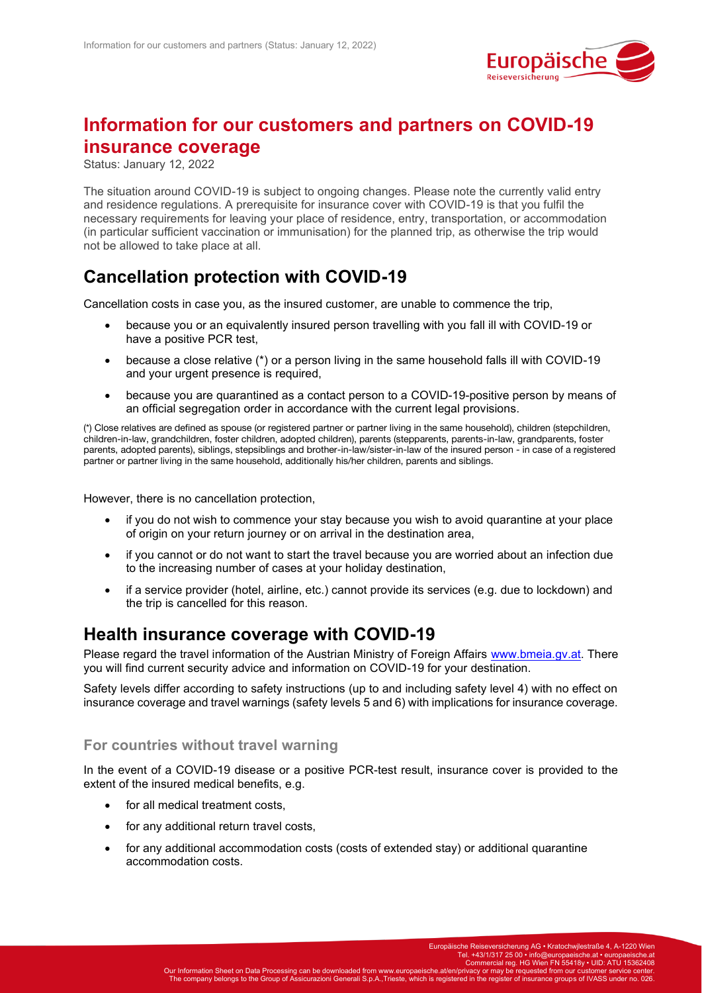

# **Information for our customers and partners on COVID-19 insurance coverage**

Status: January 12, 2022

The situation around COVID-19 is subject to ongoing changes. Please note the currently valid entry and residence regulations. A prerequisite for insurance cover with COVID-19 is that you fulfil the necessary requirements for leaving your place of residence, entry, transportation, or accommodation (in particular sufficient vaccination or immunisation) for the planned trip, as otherwise the trip would not be allowed to take place at all.

## **Cancellation protection with COVID-19**

Cancellation costs in case you, as the insured customer, are unable to commence the trip,

- because you or an equivalently insured person travelling with you fall ill with COVID-19 or have a positive PCR test,
- because a close relative (\*) or a person living in the same household falls ill with COVID-19 and your urgent presence is required.
- because you are quarantined as a contact person to a COVID-19-positive person by means of an official segregation order in accordance with the current legal provisions.

(\*) Close relatives are defined as spouse (or registered partner or partner living in the same household), children (stepchildren, children-in-law, grandchildren, foster children, adopted children), parents (stepparents, parents-in-law, grandparents, foster parents, adopted parents), siblings, stepsiblings and brother-in-law/sister-in-law of the insured person - in case of a registered partner or partner living in the same household, additionally his/her children, parents and siblings.

However, there is no cancellation protection,

- if you do not wish to commence your stay because you wish to avoid quarantine at your place of origin on your return journey or on arrival in the destination area,
- if you cannot or do not want to start the travel because you are worried about an infection due to the increasing number of cases at your holiday destination,
- if a service provider (hotel, airline, etc.) cannot provide its services (e.g. due to lockdown) and the trip is cancelled for this reason.

### **Health insurance coverage with COVID-19**

Please regard the travel information of the Austrian Ministry of Foreign Affairs [www.bmeia.gv.at.](http://www.bmeia.gv.at/) There you will find current security advice and information on COVID-19 for your destination.

Safety levels differ according to safety instructions (up to and including safety level 4) with no effect on insurance coverage and travel warnings (safety levels 5 and 6) with implications for insurance coverage.

#### **For countries without travel warning**

In the event of a COVID-19 disease or a positive PCR-test result, insurance cover is provided to the extent of the insured medical benefits, e.g.

- for all medical treatment costs.
- for any additional return travel costs,
- for any additional accommodation costs (costs of extended stay) or additional quarantine accommodation costs.